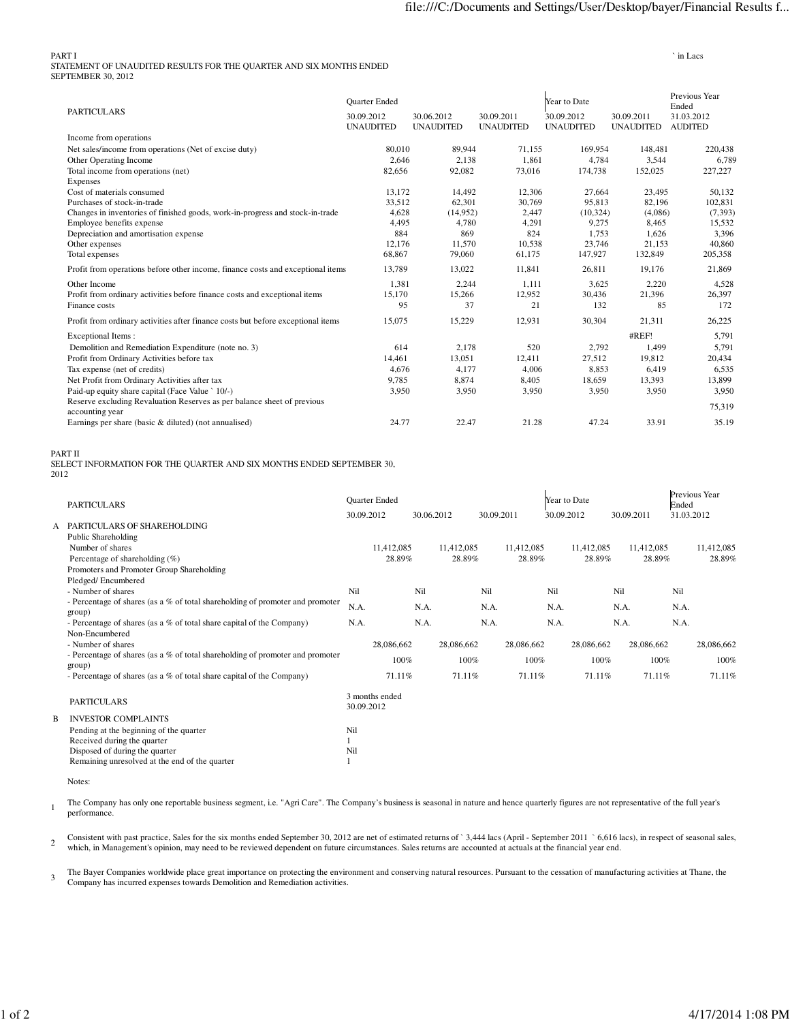PART I ` in Lacs STATEMENT OF UNAUDITED RESULTS FOR THE QUARTER AND SIX MONTHS ENDED SEPTEMBER 30, 2012

|                                                                                            | <b>Quarter Ended</b>           |                                |                                | Year to Date                   | Previous Year<br>Ended         |                              |  |
|--------------------------------------------------------------------------------------------|--------------------------------|--------------------------------|--------------------------------|--------------------------------|--------------------------------|------------------------------|--|
| <b>PARTICULARS</b>                                                                         | 30.09.2012<br><b>UNAUDITED</b> | 30.06.2012<br><b>UNAUDITED</b> | 30.09.2011<br><b>UNAUDITED</b> | 30.09.2012<br><b>UNAUDITED</b> | 30.09.2011<br><b>UNAUDITED</b> | 31.03.2012<br><b>AUDITED</b> |  |
| Income from operations                                                                     |                                |                                |                                |                                |                                |                              |  |
| Net sales/income from operations (Net of excise duty)                                      | 80,010                         | 89,944                         | 71,155                         | 169,954                        | 148,481                        | 220,438                      |  |
| Other Operating Income                                                                     | 2.646                          | 2.138                          | 1.861                          | 4,784                          | 3,544                          | 6,789                        |  |
| Total income from operations (net)<br>Expenses                                             | 82,656                         | 92,082                         | 73,016                         | 174,738                        | 152,025                        | 227,227                      |  |
| Cost of materials consumed                                                                 | 13.172                         | 14,492                         | 12,306                         | 27,664                         | 23,495                         | 50,132                       |  |
| Purchases of stock-in-trade                                                                | 33,512                         | 62,301                         | 30,769                         | 95,813                         | 82,196                         | 102,831                      |  |
| Changes in inventories of finished goods, work-in-progress and stock-in-trade              | 4,628                          | (14,952)                       | 2,447                          | (10, 324)                      | (4,086)                        | (7, 393)                     |  |
| Employee benefits expense                                                                  | 4,495                          | 4,780                          | 4,291                          | 9,275                          | 8.465                          | 15,532                       |  |
| Depreciation and amortisation expense                                                      | 884                            | 869                            | 824                            | 1,753                          | 1,626                          | 3,396                        |  |
| Other expenses                                                                             | 12,176                         | 11,570                         | 10,538                         | 23,746                         | 21,153                         | 40,860                       |  |
| Total expenses                                                                             | 68,867                         | 79,060                         | 61,175                         | 147,927                        | 132,849                        | 205,358                      |  |
| Profit from operations before other income, finance costs and exceptional items            | 13,789                         | 13,022                         | 11,841                         | 26,811                         | 19,176                         | 21,869                       |  |
| Other Income                                                                               | 1.381                          | 2,244                          | 1.111                          | 3,625                          | 2,220                          | 4,528                        |  |
| Profit from ordinary activities before finance costs and exceptional items                 | 15,170                         | 15,266                         | 12,952                         | 30,436                         | 21,396                         | 26,397                       |  |
| Finance costs                                                                              | 95                             | 37                             | 21                             | 132                            | 85                             | 172                          |  |
| Profit from ordinary activities after finance costs but before exceptional items           | 15,075                         | 15,229                         | 12,931                         | 30,304                         | 21,311                         | 26,225                       |  |
| <b>Exceptional Items:</b>                                                                  |                                |                                |                                |                                | #REF!                          | 5,791                        |  |
| Demolition and Remediation Expenditure (note no. 3)                                        | 614                            | 2,178                          | 520                            | 2,792                          | 1,499                          | 5,791                        |  |
| Profit from Ordinary Activities before tax                                                 | 14.461                         | 13,051                         | 12,411                         | 27,512                         | 19,812                         | 20,434                       |  |
| Tax expense (net of credits)                                                               | 4.676                          | 4,177                          | 4,006                          | 8,853                          | 6,419                          | 6,535                        |  |
| Net Profit from Ordinary Activities after tax                                              | 9.785                          | 8,874                          | 8,405                          | 18,659                         | 13,393                         | 13,899                       |  |
| Paid-up equity share capital (Face Value ` 10/-)                                           | 3,950                          | 3,950                          | 3,950                          | 3,950                          | 3,950                          | 3,950                        |  |
| Reserve excluding Revaluation Reserves as per balance sheet of previous<br>accounting year |                                |                                |                                |                                |                                | 75,319                       |  |
| Earnings per share (basic & diluted) (not annualised)                                      | 24.77                          | 22.47                          | 21.28                          | 47.24                          | 33.91                          | 35.19                        |  |
|                                                                                            |                                |                                |                                |                                |                                |                              |  |

PART II

SELECT INFORMATION FOR THE QUARTER AND SIX MONTHS ENDED SEPTEMBER 30, <sup>2012</sup>

|   | <b>PARTICULARS</b>                                                                      |            | Quarter Ended  |            |            |            |            |            | Year to Date |            |            | Ended      | Previous Year |
|---|-----------------------------------------------------------------------------------------|------------|----------------|------------|------------|------------|------------|------------|--------------|------------|------------|------------|---------------|
|   |                                                                                         |            | 30.09.2012     | 30.06.2012 |            | 30.09.2011 |            | 30.09.2012 |              | 30.09.2011 |            | 31.03.2012 |               |
| A | PARTICULARS OF SHAREHOLDING                                                             |            |                |            |            |            |            |            |              |            |            |            |               |
|   | Public Shareholding                                                                     |            |                |            |            |            |            |            |              |            |            |            |               |
|   | Number of shares                                                                        |            | 11,412,085     |            | 11,412,085 |            | 11,412,085 |            | 11,412,085   |            | 11,412,085 |            | 11,412,085    |
|   | Percentage of shareholding $(\%)$                                                       |            | 28.89%         |            | 28.89%     |            | 28.89%     |            | 28.89%       |            | 28.89%     |            | 28.89%        |
|   | Promoters and Promoter Group Shareholding                                               |            |                |            |            |            |            |            |              |            |            |            |               |
|   | Pledged/Encumbered                                                                      |            |                |            |            |            |            |            |              |            |            |            |               |
|   | - Number of shares                                                                      | Nil        |                | Nil        |            | Nil        |            | Nil        |              | Nil        |            | Nil        |               |
|   | - Percentage of shares (as a % of total shareholding of promoter and promoter           | N.A.       |                | N.A.       |            | N.A.       |            | N.A.       |              | N.A.       |            | N.A.       |               |
|   | group)                                                                                  |            |                |            |            |            |            |            |              |            |            |            |               |
|   | - Percentage of shares (as a % of total share capital of the Company)                   | N.A.       |                | N.A.       |            | N.A.       |            | N.A.       |              | N.A.       |            | N.A.       |               |
|   | Non-Encumbered                                                                          |            |                |            |            |            |            |            |              |            |            |            |               |
|   | - Number of shares                                                                      |            | 28,086,662     |            | 28,086,662 |            | 28,086,662 |            | 28,086,662   |            | 28,086,662 |            | 28,086,662    |
|   | - Percentage of shares (as a % of total shareholding of promoter and promoter<br>group) |            | 100%           |            | 100%       |            | 100%       |            | 100%         |            | 100%       |            | 100%          |
|   | - Percentage of shares (as a % of total share capital of the Company)                   |            | 71.11%         |            | 71.11%     |            | 71.11%     |            | 71.11%       |            | 71.11%     |            | 71.11%        |
|   | <b>PARTICULARS</b>                                                                      | 30.09.2012 | 3 months ended |            |            |            |            |            |              |            |            |            |               |
| B | <b>INVESTOR COMPLAINTS</b>                                                              |            |                |            |            |            |            |            |              |            |            |            |               |
|   | Pending at the beginning of the quarter                                                 | Nil        |                |            |            |            |            |            |              |            |            |            |               |
|   | Received during the quarter                                                             |            |                |            |            |            |            |            |              |            |            |            |               |
|   | Disposed of during the quarter                                                          | Nil        |                |            |            |            |            |            |              |            |            |            |               |
|   | Remaining unresolved at the end of the quarter                                          |            |                |            |            |            |            |            |              |            |            |            |               |

Notes:

1 The Company has only one reportable business segment, i.e. "Agri Care". The Company's business is seasonal in nature and hence quarterly figures are not representative of the full year's performance.

2 Consistent with past practice, Sales for the six months ended September 30, 2012 are net of estimated returns of ` 3,444 lacs (April - September 2011 ` 6,616 lacs), in respect of seasonal sales, which, in Management's opinion, may need to be reviewed dependent on future circumstances. Sales returns are accounted at actuals at the financial year end.

3 The Bayer Companies worldwide place great importance on protecting the environment and conserving natural resources. Pursuant to the cessation of manufacturing activities at Thane, the Company has incurred expenses towards Demolition and Remediation activities.